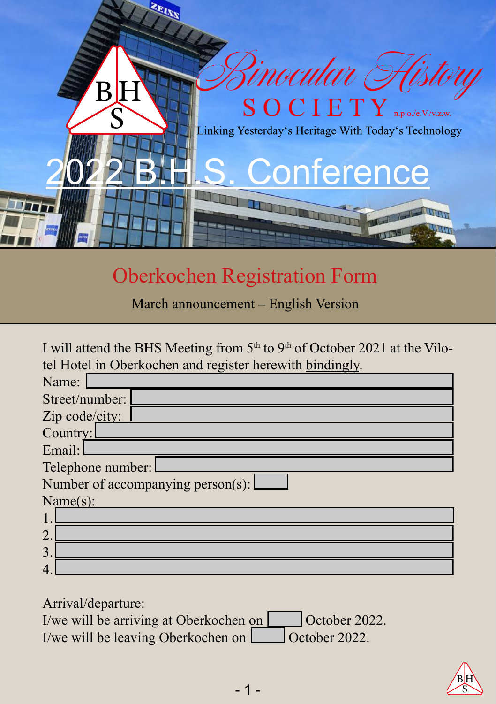

## Oberkochen Registration Form

March announcement – English Version

| I will attend the BHS Meeting from 5 <sup>th</sup> to 9 <sup>th</sup> of October 2021 at the Vilo- |  |  |  |
|----------------------------------------------------------------------------------------------------|--|--|--|
| tel Hotel in Oberkochen and register herewith bindingly.                                           |  |  |  |
| Name:                                                                                              |  |  |  |
| Street/number:                                                                                     |  |  |  |
| Zip code/city:                                                                                     |  |  |  |
| Country:                                                                                           |  |  |  |
| Email:                                                                                             |  |  |  |
| Telephone number:                                                                                  |  |  |  |
| Number of accompanying person(s):                                                                  |  |  |  |
| Name(s):                                                                                           |  |  |  |
|                                                                                                    |  |  |  |
| $\mathcal{D}$                                                                                      |  |  |  |
|                                                                                                    |  |  |  |
|                                                                                                    |  |  |  |

Arrival/departure:

| I/we will be arriving at Oberkochen on [ | October 2022.        |
|------------------------------------------|----------------------|
| I/we will be leaving Oberkochen on       | $\int$ October 2022. |

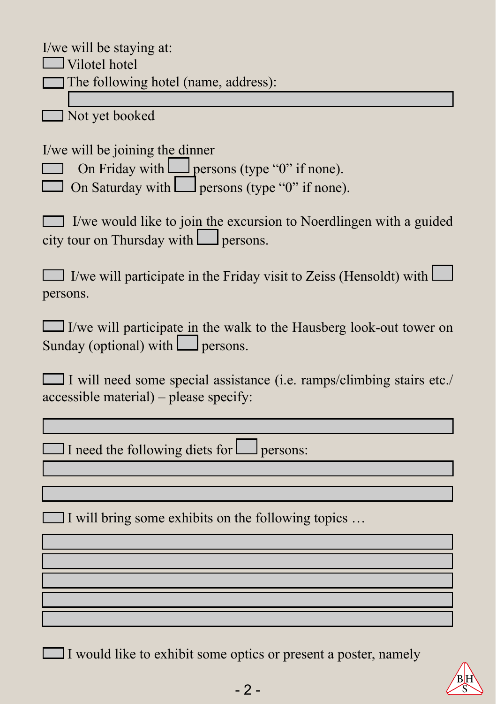I/we will be staying at:  $\Box$  Vilotel hotel The following hotel (name, address):

Not yet booked

I/we will be joining the dinner

On Friday with persons (type "0" if none).

 $\Box$  On Saturday with  $\Box$  persons (type "0" if none).

 $\Box$  I/we would like to join the excursion to Noerdlingen with a guided city tour on Thursday with  $\Box$  persons.

 $\Box$  I/we will participate in the Friday visit to Zeiss (Hensoldt) with  $\Box$ persons.

 $\Box$  I/we will participate in the walk to the Hausberg look-out tower on Sunday (optional) with  $\Box$  persons.

 I will need some special assistance (i.e. ramps/climbing stairs etc./ accessible material) – please specify:

 $\Box$  I need the following diets for  $\Box$  persons:

I will bring some exhibits on the following topics  $\dots$ 

 $\Box$  I would like to exhibit some optics or present a poster, namely